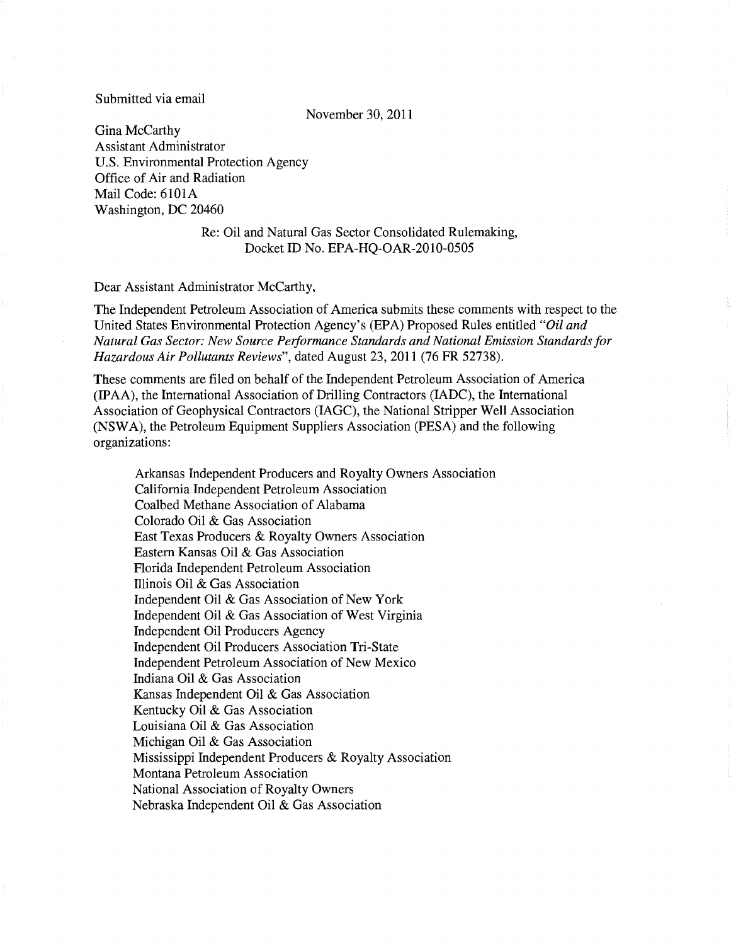### Submitted via email

November 30,2011

Gina McCarthy Assistant Administrator U.S. Environmental Protection Agency Office of Air and Radiation Mail Code: 6101A Washington, DC 20460

> Re: Oil and Natural Gas Sector Consolidated Rulemaking, Docket ID No. EPA-HQ-OAR-2010-0505

#### Dear Assistant Administrator McCarthy,

The Independent Petroleum Association of America submits these comments with respect to the United States Environmental Protection Agency's (EPA) Proposed Rules entitled *"Oil and Natural Gas Sector: New Source Peiformance Standards and National Emission Standards for Hazardous Air Pollutants Reviews",* dated August 23,2011 (76 FR 52738).

These comments are filed on behalf of the Independent Petroleum Association of America (IPAA), the International Association of Drilling Contractors (IADC), the International Association of Geophysical Contractors (IAGC), the National Stripper Well Association (NSW A), the Petroleum Equipment Suppliers Association (PESA) and the following organizations:

Arkansas Independent Producers and Royalty Owners Association California Independent Petroleum Association Coalbed Methane Association of Alabama Colorado Oil & Gas Association East Texas Producers & Royalty Owners Association Eastern Kansas Oil & Gas Association Florida Independent Petroleum Association illinois Oil & Gas Association Independent Oil & Gas Association of New York Independent Oil & Gas Association of West Virginia Independent Oil Producers Agency Independent Oil Producers Association Tri-State Independent Petroleum Association of New Mexico Indiana Oil & Gas Association Kansas Independent Oil & Gas Association Kentucky Oil & Gas Association Louisiana Oil & Gas Association Michigan Oil & Gas Association Mississippi Independent Producers & Royalty Association Montana Petroleum Association National Association of Royalty Owners Nebraska Independent Oil & Gas Association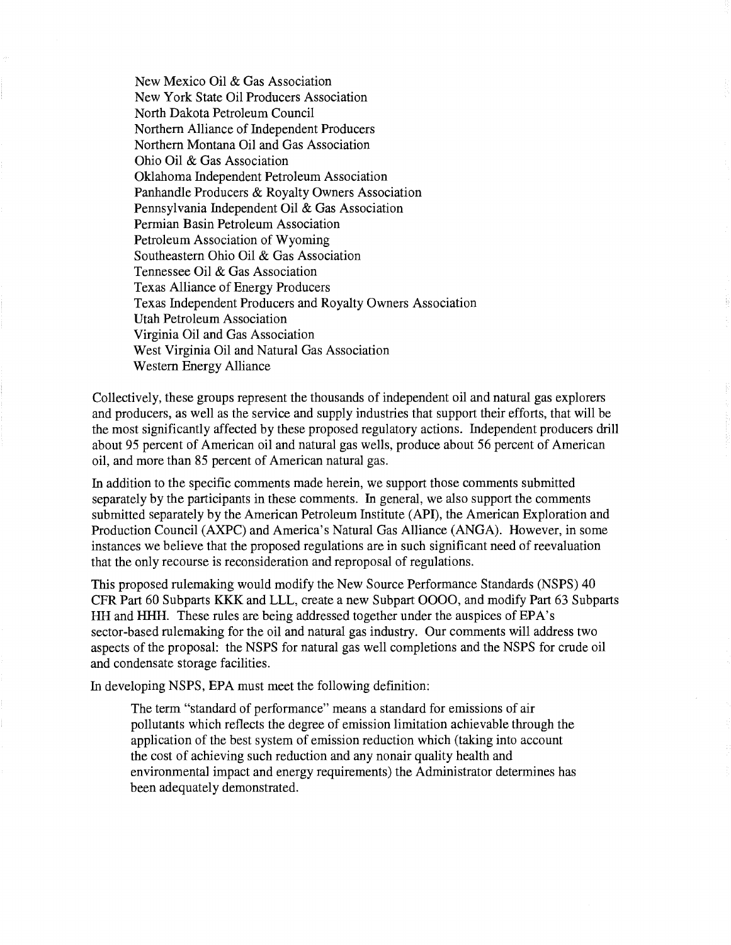New Mexico Oil & Gas Association New York State Oil Producers Association North Dakota Petroleum Council Northern Alliance of Independent Producers Northern Montana Oil and Gas Association Ohio Oil & Gas Association Oklahoma Independent Petroleum Association Panhandle Producers & Royalty Owners Association Pennsylvania Independent Oil & Gas Association Permian Basin Petroleum Association Petroleum Association of Wyoming Southeastern Ohio Oil & Gas Association Tennessee Oil & Gas Association Texas Alliance of Energy Producers Texas Independent Producers and Royalty Owners Association Utah Petroleum Association Virginia Oil and Gas Association West Virginia Oil and Natural Gas Association Western Energy Alliance

Collectively, these groups represent the thousands of independent oil and natural gas explorers and producers, as well as the service and supply industries that support their efforts, that will be the most significantly affected by these proposed regulatory actions. Independent producers drill about 95 percent of American oil and natural gas wells, produce about 56 percent of American oil, and more than 85 percent of American natural gas.

In addition to the specific comments made herein, we support those comments submitted separately by the participants in these comments. In general, we also support the comments submitted separately by the American Petroleum Institute (API), the American Exploration and Production Council (AXPC) and America's Natural Gas Alliance (ANGA). However, in some instances we believe that the proposed regulations are in such significant need of reevaluation that the only recourse is reconsideration and reproposal of regulations.

This proposed rulemaking would modify the New Source Performance Standards (NSPS) 40 CFR Part 60 Subparts KKK and LLL, create a new Subpart 0000, and modify Part 63 Subparts **HH** and HHH. These rules are being addressed together under the auspices of EPA's sector-based rulemaking for the oil and natural gas industry. Our comments will address two aspects of the proposal: the NSPS for natural gas well completions and the NSPS for crude oil and condensate storage facilities.

In developing NSPS, EPA must meet the following definition:

The term "standard of performance" means a standard for emissions of air pollutants which reflects the degree of emission limitation achievable through the application of the best system of emission reduction which (taking into account the cost of achieving such reduction and any nonair quality health and environmental impact and energy requirements) the Administrator determines has been adequately demonstrated.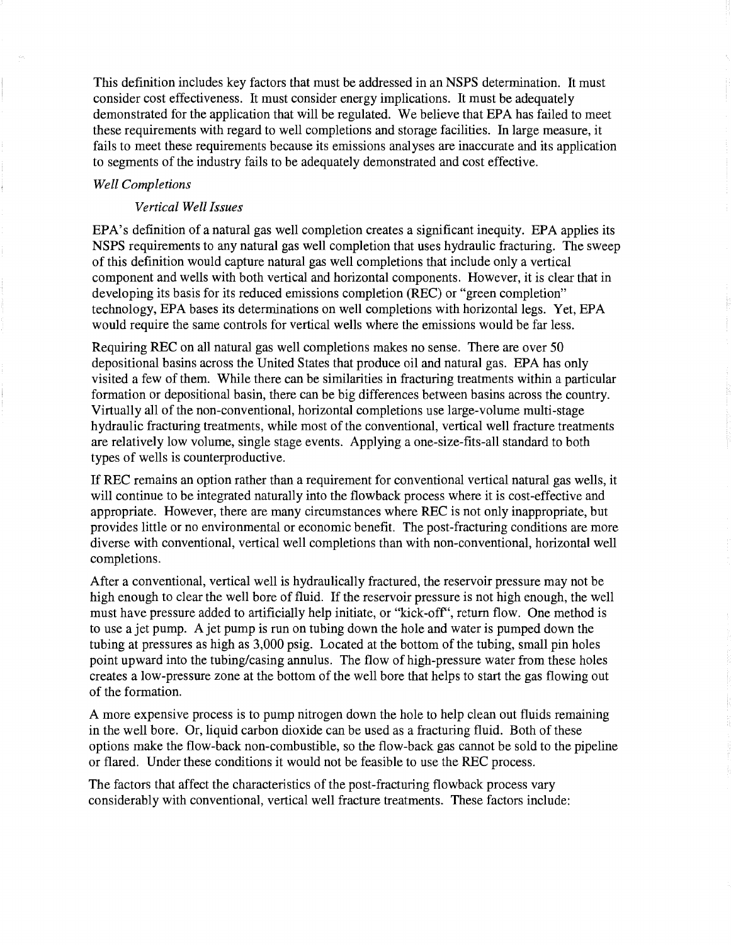This definition includes key factors that must be addressed in an NSPS determination. It must consider cost effectiveness. It must consider energy implications. It must be adequately demonstrated for the application that will be regulated. We believe that EPA has failed to meet these requirements with regard to well completions and storage facilities. In large measure, it fails to meet these requirements because its emissions analyses are inaccurate and its application to segments of the industry fails to be adequately demonstrated and cost effective.

# *Well Completions*

# *Vertical Well Issues*

EPA's definition of a natural gas well completion creates a significant inequity. EPA applies its NSPS requirements to any natural gas well completion that uses hydraulic fracturing. The sweep of this definition would capture natural gas well completions that include only a vertical component and wells with both vertical and horizontal components. However, it is clear that in developing its basis for its reduced emissions completion (REC) or "green completion" technology, EPA bases its determinations on well completions with horizontal legs. Yet, EPA would require the same controls for vertical wells where the emissions would be far less.

Requiring REC on all natural gas well completions makes no sense. There are over 50 depositional basins across the United States that produce oil and natural gas. EPA has only visited a few of them. While there can be similarities in fracturing treatments within a particular formation or depositional basin, there can be big differences between basins across the country. Virtually all of the non-conventional, horizontal completions use large-volume multi-stage hydraulic fracturing treatments, while most of the conventional, vertical well fracture treatments are relatively low volume, single stage events. Applying a one-size-fits-all standard to both types of wells is counterproductive.

IfREC remains an option rather than a requirement for conventional vertical natural gas wells, it will continue to be integrated naturally into the flowback process where it is cost-effective and appropriate. However, there are many circumstances where REC is not only inappropriate, but provides little or no environmental or economic benefit. The post-fracturing conditions are more diverse with conventional, vertical well completions than with non-conventional, horizontal well completions.

After a conventional, vertical well is hydraulically fractured, the reservoir pressure may not be high enough to clear the well bore of fluid. If the reservoir pressure is not high enough, the well must have pressure added to artificially help initiate, or "kick-off', return flow. One method is to use a jet pump. A jet pump is run on tubing down the hole and water is pumped down the tubing at pressures as high as 3,000 psig. Located at the bottom of the tubing, small pin holes point upward into the tubing/casing annulus. The flow of high-pressure water from these holes creates a low-pressure zone at the bottom of the well bore that helps to start the gas flowing out of the formation.

A more expensive process is to pump nitrogen down the hole to help clean out fluids remaining in the well bore. Or, liquid carbon dioxide can be used as a fracturing fluid. Both of these options make the flow-back non-combustible, so the flow-back gas cannot be sold to the pipeline or flared. Under these conditions it would not be feasible to use the REC process.

The factors that affect the characteristics of the post-fracturing flowback process vary considerably with conventional, vertical well fracture treatments. These factors include: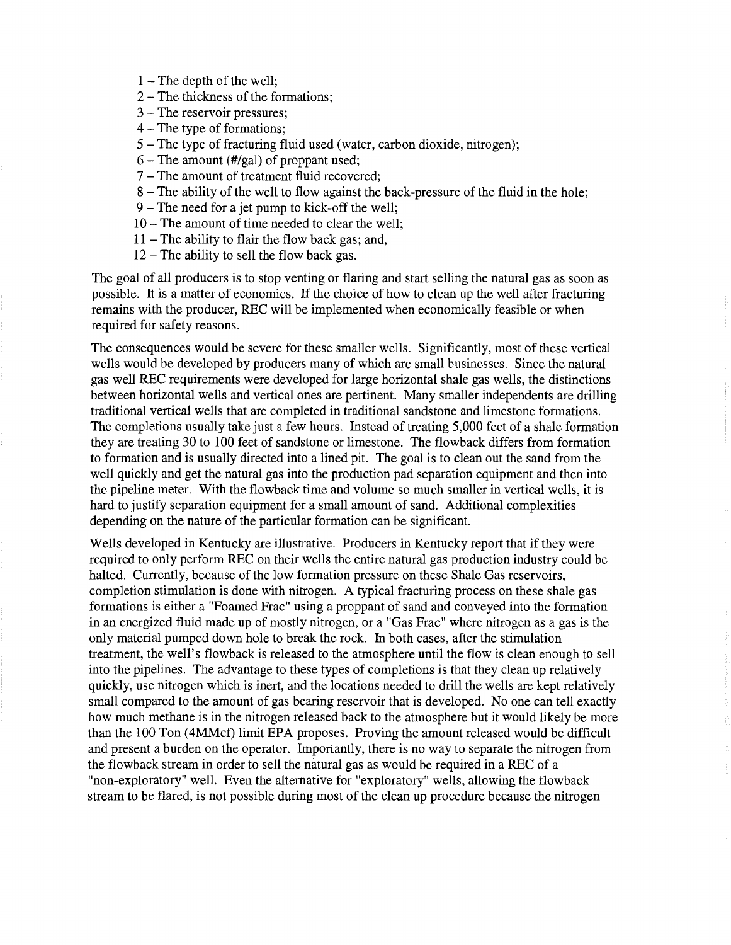- 1 The depth of the well;
- 2 The thickness of the formations;
- 3 The reservoir pressures;
- 4 The type of formations;
- 5 The type of fracturing fluid used (water, carbon dioxide, nitrogen);
- $6 -$ The amount (#/gal) of proppant used;
- 7 The amount of treatment fluid recovered;
- 8 The ability of the well to flow against the back-pressure of the fluid in the hole;
- 9 The need for a jet pump to kick-off the well;
- 10 The amount of time needed to clear the well;
- $11$  The ability to flair the flow back gas; and,
- $12$  The ability to sell the flow back gas.

The goal of all producers is to stop venting or flaring and start selling the natural gas as soon as possible. It is a matter of economics. If the choice of how to clean up the well after fracturing remains with the producer, REC will be implemented when economically feasible or when required for safety reasons.

The consequences would be severe for these smaller wells. Significantly, most of these vertical wells would be developed by producers many of which are small businesses. Since the natural gas well REC requirements were developed for large horizontal shale gas wells, the distinctions between horizontal wells and vertical ones are pertinent. Many smaller independents are drilling traditional vertical wells that are completed in traditional sandstone and limestone formations. The completions usually take just a few hours. Instead of treating 5,000 feet of a shale formation they are treating 30 to 100 feet of sandstone or limestone. The flowback differs from formation to formation and is usually directed into a lined pit. The goal is to clean out the sand from the well quickly and get the natural gas into the production pad separation equipment and then into the pipeline meter. With the flowback time and volume so much smaller in vertical wells, it is hard to justify separation equipment for a small amount of sand. Additional complexities depending on the nature of the particular formation can be significant.

Wells developed in Kentucky are illustrative. Producers in Kentucky report that if they were required to only perform REC on their wells the entire natural gas production industry could be halted. Currently, because of the low formation pressure on these Shale Gas reservoirs, completion stimulation is done with nitrogen. A typical fracturing process on these shale gas formations is either a "Foamed Frac" using a proppant of sand and conveyed into the formation in an energized fluid made up of mostly nitrogen, or a "Gas Frac" where nitrogen as a gas is the only material pumped down hole to break the rock. In both cases, after the stimulation treatment, the well's flowback is released to the atmosphere until the flow is clean enough to sell into the pipelines. The advantage to these types of completions is that they clean up relatively quickly, use nitrogen which is inert, and the locations needed to drill the wells are kept relatively small compared to the amount of gas bearing reservoir that is developed. No one can tell exactly how much methane is in the nitrogen released back to the atmosphere but it would likely be more than the 100 Ton (4MMcf) limit EPA proposes. Proving the amount released would be difficult and present a burden on the operator. Importantly, there is no way to separate the nitrogen from the flow back stream in order to sell the natural gas as would be required in a REC of a "non-exploratory" well. Even the alternative for "exploratory" wells, allowing the flowback stream to be flared, is not possible during most of the clean up procedure because the nitrogen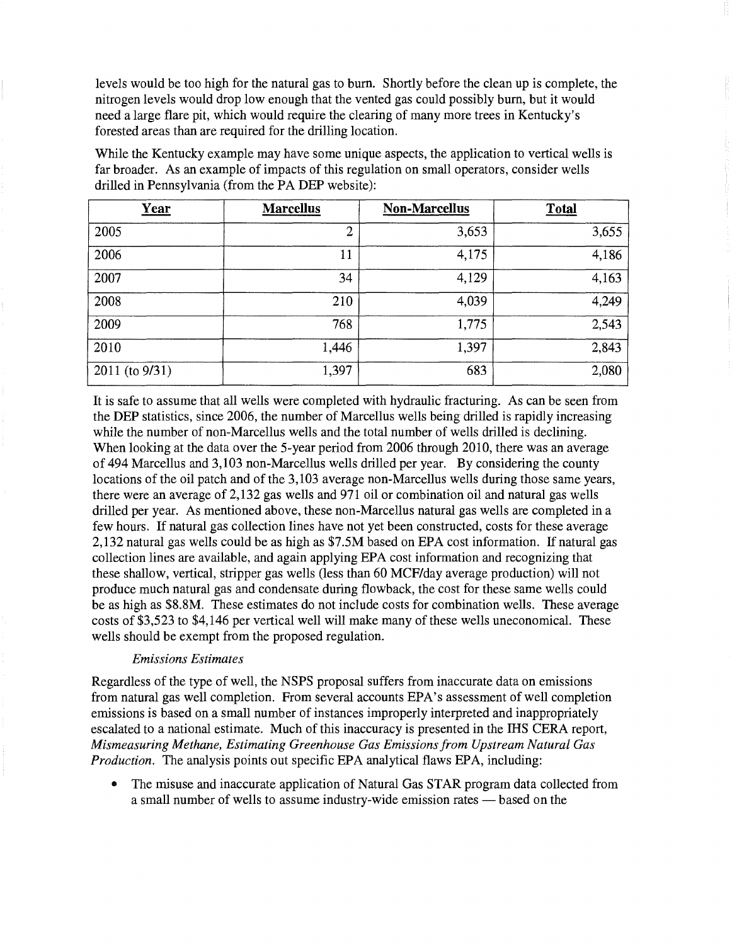levels would be too high for the natural gas to burn. Shortly before the clean up is complete, the nitrogen levels would drop low enough that the vented gas could possibly burn, but it would need a large flare pit, which would require the clearing of many more trees in Kentucky's forested areas than are required for the drilling location.

While the Kentucky example may have some unique aspects, the application to vertical wells is far broader. As an example of impacts of this regulation on small operators, consider wells drilled in Pennsylvania (from the PA DEP website):

| Year           | <b>Marcellus</b> | <b>Non-Marcellus</b> | <b>Total</b> |
|----------------|------------------|----------------------|--------------|
| 2005           | $\overline{2}$   | 3,653                | 3,655        |
| 2006           | 11               | 4,175                | 4,186        |
| 2007           | 34               | 4,129                | 4,163        |
| 2008           | 210              | 4,039                | 4,249        |
| 2009           | 768              | 1,775                | 2,543        |
| 2010           | 1,446            | 1,397                | 2,843        |
| 2011 (to 9/31) | 1,397            | 683                  | 2,080        |

It is safe to assume that all wells were completed with hydraulic fracturing. As can be seen from the DEP statistics, since 2006, the number of Marcellus wells being drilled is rapidly increasing while the number of non-Marcellus wells and the total number of wells drilled is declining. When looking at the data over the 5-year period from 2006 through 2010, there was an average of 494 Marcellus and 3,103 non-Marcellus wells drilled per year. By considering the county locations of the oil patch and of the 3,103 average non-Marcellus wells during those same years, there were an average of 2,132 gas wells and 971 oil or combination oil and natural gas wells drilled per year. As mentioned above, these non-Marcellus natural gas wells are completed in a few hours. If natural gas collection lines have not yet been constructed, costs for these average 2,132 natural gas wells could be as high as \$7.5M based on EPA cost information. If natural gas collection lines are available, and again applying EPA cost information and recognizing that these shallow, vertical, stripper gas wells (less than 60 MCF/day average production) will not produce much natural gas and condensate during flowback, the cost for these same wells could be as high as \$8.8M. These estimates do not include costs for combination wells. These average costs of \$3,523 to \$4,146 per vertical well will make many of these wells uneconomical. These wells should be exempt from the proposed regulation.

# *Emissions Estimates*

Regardless of the type of well, the NSPS proposal suffers from inaccurate data on emissions from natural gas well completion. From several accounts EPA's assessment of well completion emissions is based on a small number of instances improperly interpreted and inappropriately escalated to a national estimate. Much of this inaccuracy is presented in the IHS CERA report, *Mismeasuring Methane, Estimating Greenhouse Gas Emissions from Upstream Natural Gas Production.* The analysis points out specific EPA analytical flaws EPA, including:

• The misuse and inaccurate application of Natural Gas STAR program data collected from a small number of wells to assume industry-wide emission rates — based on the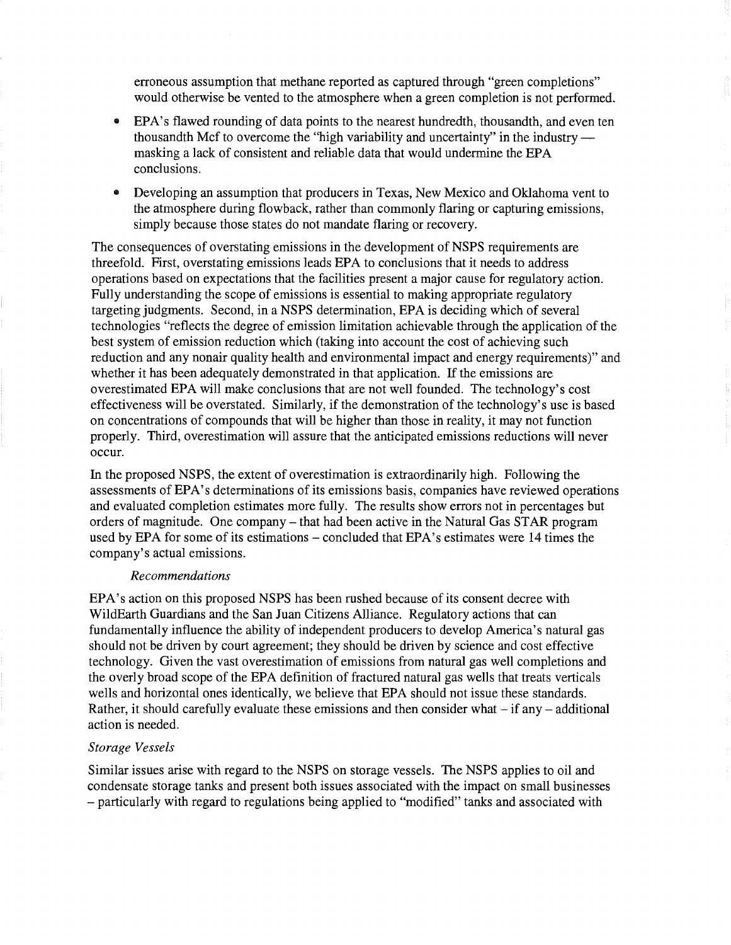erroneous assumption that methane reported as captured through "green completions" would otherwise be vented to the atmosphere when a green completion is not performed.

- EPA's flawed rounding of data points to the nearest hundredth, thousandth, and even ten thousandth Mcf to overcome the "high variability and uncertainty" in the industry masking a lack of consistent and reliable data that would undermine the EPA conclusions.
- Developing an assumption that producers in Texas, New Mexico and Oklahoma vent to the atmosphere during flowback, rather than commonly flaring or capturing emissions, simply because those states do not mandate flaring or recovery.

The consequences of overstating emissions in the development of NSPS requirements are threefold. First, overstating emissions leads EPA to conclusions that it needs to address operations based on expectations that the facilities present a major cause for regulatory action. Fully understanding the scope of emissions is essential to making appropriate regulatory targeting judgments. Second, in a NSPS determination, EPA is deciding which of several technologies "reflects the degree of emission limitation achievable through the application of the best system of emission reduction which (taking into account the cost of achieving such reduction and any nonair quality health and environmental impact and energy requirements)" and whether it has been adequately demonstrated in that application. If the emissions are overestimated EPA will make conclusions that are not well founded. The technology's cost effectiveness will be overstated. Similarly, if the demonstration of the technology's use is based on concentrations of compounds that will be higher than those in reality, it may not function properly. Third, overestimation will assure that the anticipated emissions reductions will never occur.

In the proposed NSPS, the extent of overestimation is extraordinarily high. Following the assessments of EPA's determinations of its emissions basis, companies have reviewed operations and evaluated completion estimates more fully. The results show errors not in percentages but orders of magnitude. One company – that had been active in the Natural Gas STAR program used by EPA for some of its estimations – concluded that EPA's estimates were 14 times the company's actual emissions.

#### *Recommendations*

EPA's action on this proposed NSPS has been rushed because of its consent decree with WildEarth Guardians and the San Juan Citizens Alliance. Regulatory actions that can fundamentally influence the ability of independent producers to develop America's natural gas should not be driven by court agreement; they should be driven by science and cost effective technology. Given the vast overestimation of emissions from natural gas well completions and the overly broad scope of the EPA definition of fractured natural gas wells that treats verticals wells and horizontal ones identically, we believe that EPA should not issue these standards. Rather, it should carefully evaluate these emissions and then consider what  $-$  if any  $-$  additional action is needed.

#### *Storage Vessels*

Similar issues arise with regard to the NSPS on storage vessels. The NSPS applies to oil and condensate storage tanks and present both issues associated with the impact on small businesses - particularly with regard to regulations being applied to "modified" tanks and associated with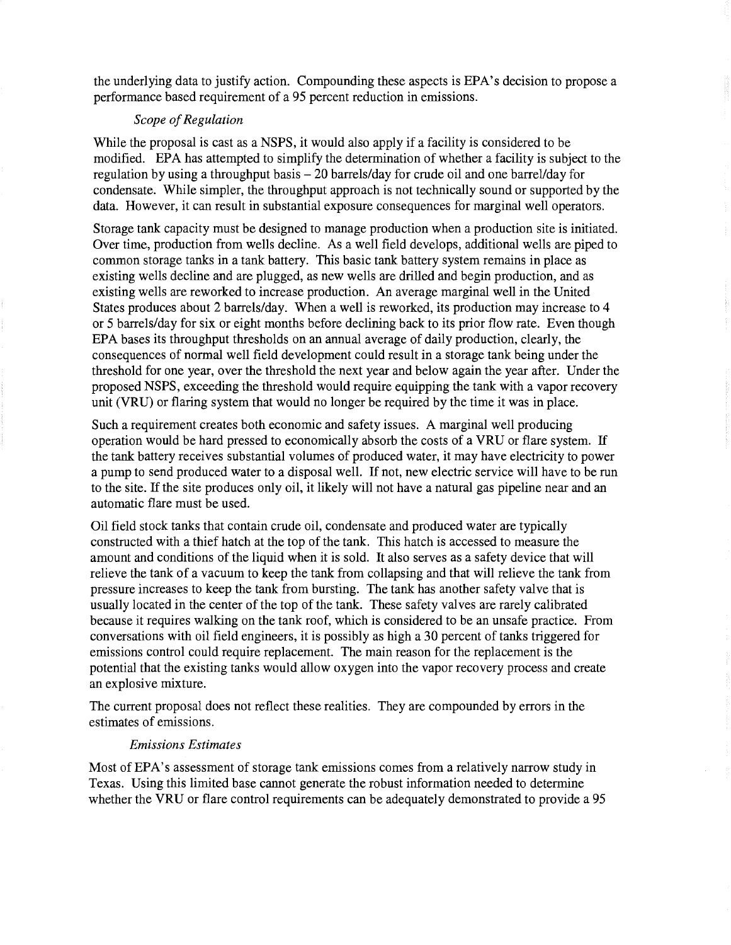the underlying data to justify action. Compounding these aspects is EPA's decision to propose a performance based requirement of a 95 percent reduction in emissions.

# **Scope of Regulation**

While the proposal is cast as a NSPS, it would also apply if a facility is considered to be modified. EPA has attempted to simplify the determination of whether a facility is subject to the regulation by using a throughput basis - 20 barrels/day for crude oil and one barrel/day for condensate. While simpler, the throughput approach is not technically sound or supported by the data. However, it can result in substantial exposure consequences for marginal well operators.

Storage tank capacity must be designed to manage production when a production site is initiated. Over time, production from wells decline. As a well field develops, additional wells are piped to common storage tanks in a tank battery. This basic tank battery system remains in place as existing wells decline and are plugged, as new wells are drilled and begin production, and as existing wells are reworked to increase production. An average marginal well in the United States produces about 2 barrels/day. When a well is reworked, its production may increase to 4 or 5 barrels/day for six or eight months before declining back to its prior flow rate. Even though EPA bases its throughput thresholds on an annual average of daily production, clearly, the consequences of normal well field development could result in a storage tank being under the threshold for one year, over the threshold the next year and below again the year after. Under the proposed NSPS, exceeding the threshold would require equipping the tank with a vapor recovery unit (VRU) or flaring system that would no longer be required by the time it was in place.

Such a requirement creates both economic and safety issues. A marginal well producing operation would be hard pressed to economically absorb the costs of a VRU or flare system. If the tank battery receives substantial volumes of produced water, it may have electricity to power a pump to send produced water to a disposal well. If not, new electric service will have to be run to the site. Ifthe site produces only oil, it likely will not have a natural gas pipeline near and an automatic flare must be used.

Oil field stock tanks that contain crude oil, condensate and produced water are typically constructed with a thief hatch at the top of the tank. This hatch is accessed to measure the amount and conditions of the liquid when it is sold. It also serves as a safety device that will relieve the tank of a vacuum to keep the tank from collapsing and that will relieve the tank from pressure increases to keep the tank from bursting. The tank has another safety valve that is usually located in the center of the top of the tank. These safety valves are rarely calibrated because it requires walking on the tank roof, which is considered to be an unsafe practice. From conversations with oil field engineers, it is possibly as high a 30 percent of tanks triggered for emissions control could require replacement. The main reason for the replacement is the potential that the existing tanks would allow oxygen into the vapor recovery process and create an explosive mixture.

The current proposal does not reflect these realities. They are compounded by errors in the estimates of emissions.

### *Emissions Estimates*

Most of EPA's assessment of storage tank emissions comes from a relatively narrow study in Texas. Using this limited base cannot generate the robust information needed to determine whether the VRU or flare control requirements can be adequately demonstrated to provide a 95